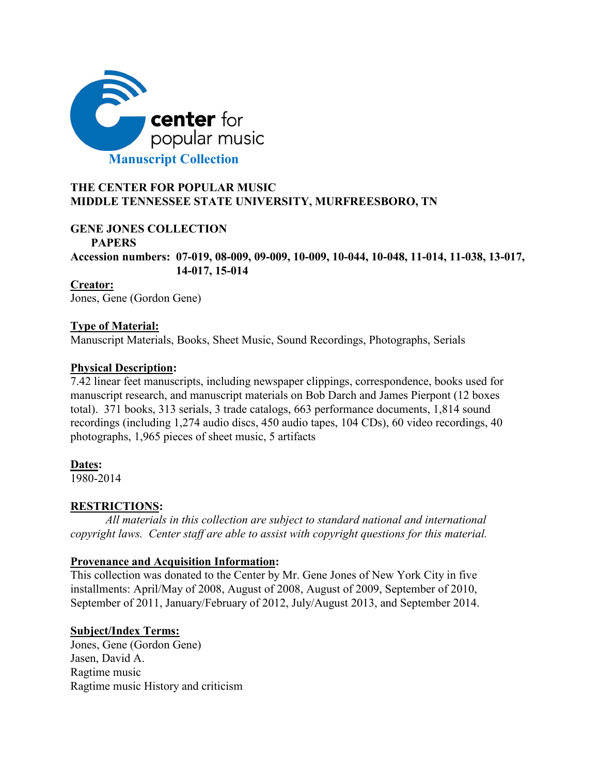

## **THE CENTER FOR POPULAR MUSIC MIDDLE TENNESSEE STATE UNIVERSITY, MURFREESBORO, TN**

## **GENE JONES COLLECTION**

## **PAPERS**

**Accession numbers: 07-019, 08-009, 09-009, 10-009, 10-044, 10-048, 11-014, 11-038, 13-017, 14-017, 15-014**

**Creator:** Jones, Gene (Gordon Gene)

## **Type of Material:**

Manuscript Materials, Books, Sheet Music, Sound Recordings, Photographs, Serials

## **Physical Description:**

7.42 linear feet manuscripts, including newspaper clippings, correspondence, books used for manuscript research, and manuscript materials on Bob Darch and James Pierpont (12 boxes total). 371 books, 313 serials, 3 trade catalogs, 663 performance documents, 1,814 sound recordings (including 1,274 audio discs, 450 audio tapes, 104 CDs), 60 video recordings, 40 photographs, 1,965 pieces of sheet music, 5 artifacts

## **Dates:**

1980-2014

## **RESTRICTIONS:**

*All materials in this collection are subject to standard national and international copyright laws. Center staff are able to assist with copyright questions for this material.*

## **Provenance and Acquisition Information:**

This collection was donated to the Center by Mr. Gene Jones of New York City in five installments: April/May of 2008, August of 2008, August of 2009, September of 2010, September of 2011, January/February of 2012, July/August 2013, and September 2014.

## **Subject/Index Terms:**

Jones, Gene (Gordon Gene) Jasen, David A. Ragtime music Ragtime music History and criticism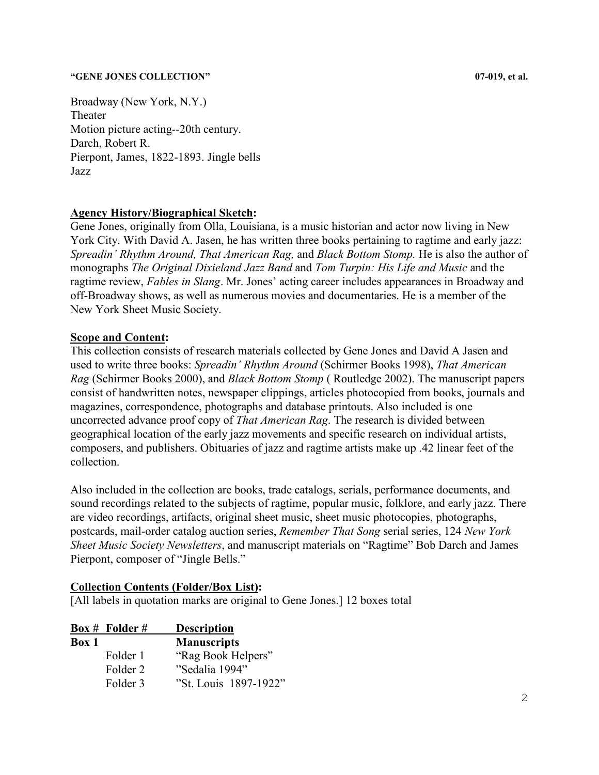Broadway (New York, N.Y.) Theater Motion picture acting--20th century. Darch, Robert R. Pierpont, James, 1822-1893. Jingle bells Jazz

## **Agency History/Biographical Sketch:**

Gene Jones, originally from Olla, Louisiana, is a music historian and actor now living in New York City. With David A. Jasen, he has written three books pertaining to ragtime and early jazz: *Spreadin' Rhythm Around, That American Rag,* and *Black Bottom Stomp.* He is also the author of monographs *The Original Dixieland Jazz Band* and *Tom Turpin: His Life and Music* and the ragtime review, *Fables in Slang*. Mr. Jones' acting career includes appearances in Broadway and off-Broadway shows, as well as numerous movies and documentaries. He is a member of the New York Sheet Music Society.

## **Scope and Content:**

This collection consists of research materials collected by Gene Jones and David A Jasen and used to write three books: *Spreadin' Rhythm Around* (Schirmer Books 1998), *That American Rag* (Schirmer Books 2000), and *Black Bottom Stomp* ( Routledge 2002). The manuscript papers consist of handwritten notes, newspaper clippings, articles photocopied from books, journals and magazines, correspondence, photographs and database printouts. Also included is one uncorrected advance proof copy of *That American Rag*. The research is divided between geographical location of the early jazz movements and specific research on individual artists, composers, and publishers. Obituaries of jazz and ragtime artists make up .42 linear feet of the collection.

Also included in the collection are books, trade catalogs, serials, performance documents, and sound recordings related to the subjects of ragtime, popular music, folklore, and early jazz. There are video recordings, artifacts, original sheet music, sheet music photocopies, photographs, postcards, mail-order catalog auction series, *Remember That Song* serial series, 124 *New York Sheet Music Society Newsletters*, and manuscript materials on "Ragtime" Bob Darch and James Pierpont, composer of "Jingle Bells."

### **Collection Contents (Folder/Box List):**

[All labels in quotation marks are original to Gene Jones.] 12 boxes total

|       | $Box #$ Folder # | <b>Description</b>    |
|-------|------------------|-----------------------|
| Box 1 |                  | <b>Manuscripts</b>    |
|       | Folder 1         | "Rag Book Helpers"    |
|       | Folder 2         | "Sedalia 1994"        |
|       | Folder 3         | "St. Louis 1897-1922" |
|       |                  |                       |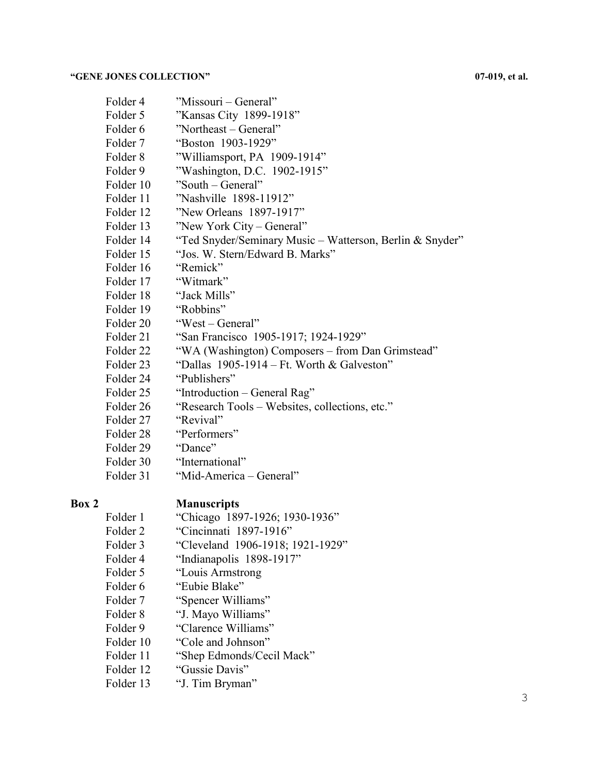| Folder 4             | "Missouri – General"                                     |
|----------------------|----------------------------------------------------------|
| Folder 5             | "Kansas City 1899-1918"                                  |
| Folder 6             | "Northeast – General"                                    |
| Folder 7             | "Boston 1903-1929"                                       |
| Folder 8             | "Williamsport, PA 1909-1914"                             |
| Folder 9             | "Washington, D.C. 1902-1915"                             |
| Folder 10            | "South – General"                                        |
| Folder 11            | "Nashville 1898-11912"                                   |
| Folder 12            | "New Orleans 1897-1917"                                  |
| Folder 13            | "New York City – General"                                |
| Folder 14            | "Ted Snyder/Seminary Music - Watterson, Berlin & Snyder" |
| Folder 15            | "Jos. W. Stern/Edward B. Marks"                          |
| Folder 16            | "Remick"                                                 |
| Folder 17            | "Witmark"                                                |
| Folder 18            | "Jack Mills"                                             |
| Folder 19            | "Robbins"                                                |
| Folder 20            | "West – General"                                         |
| Folder 21            | "San Francisco 1905-1917; 1924-1929"                     |
| Folder <sub>22</sub> | "WA (Washington) Composers – from Dan Grimstead"         |
| Folder <sub>23</sub> | "Dallas $1905-1914$ – Ft. Worth & Galveston"             |
| Folder 24            | "Publishers"                                             |
| Folder 25            | "Introduction – General Rag"                             |
| Folder 26            | "Research Tools - Websites, collections, etc."           |
| Folder 27            | "Revival"                                                |
| Folder 28            | "Performers"                                             |
| Folder 29            | "Dance"                                                  |
| Folder 30            | "International"                                          |
| Folder 31            | "Mid-America - General"                                  |

- **Box 2 Manuscripts**<br>Folder 1 **Chicago** 189 "Chicago 1897-1926; 1930-1936"
	- Folder 2 "Cincinnati 1897-1916"
	- Folder 3 "Cleveland 1906-1918; 1921-1929"
	- Folder 4 "Indianapolis 1898-1917"
	- Folder 5 "Louis Armstrong"
	- Folder 6 "Eubie Blake"
	- Folder 7 "Spencer Williams"
	- Folder 8 "J. Mayo Williams"
	- Folder 9 "Clarence Williams"
	- Folder 10 "Cole and Johnson"
	- Folder 11 "Shep Edmonds/Cecil Mack"
	- Folder 12 "Gussie Davis"
	- Folder 13 "J. Tim Bryman"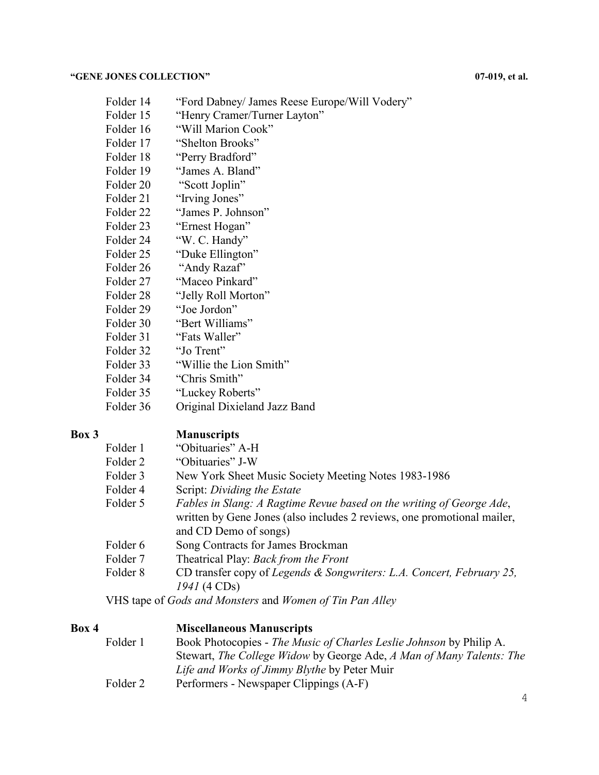- Folder 14 "Ford Dabney/ James Reese Europe/Will Vodery"
- Folder 15 "Henry Cramer/Turner Layton"
- Folder 16 "Will Marion Cook"
- Folder 17 "Shelton Brooks"
- Folder 18 "Perry Bradford"
- Folder 19 "James A. Bland"
- Folder 20 "Scott Joplin"
- Folder 21 "Irving Jones"
- Folder 22 "James P. Johnson"
- Folder 23 "Ernest Hogan"
- Folder 24 "W. C. Handy"
- Folder 25 "Duke Ellington"
- Folder 26 "Andy Razaf"
- Folder 27 "Maceo Pinkard"
- Folder 28 "Jelly Roll Morton"
- Folder 29 "Joe Jordon"
- Folder 30 "Bert Williams"
- Folder 31 "Fats Waller"
- Folder 32 "Jo Trent"
- Folder 33 "Willie the Lion Smith"
- Folder 34 "Chris Smith"
- Folder 35 "Luckey Roberts"
- Folder 36 Original Dixieland Jazz Band

## **Box 3 Manuscripts**

| Folder 1 | "Obituaries" A-H                                                        |
|----------|-------------------------------------------------------------------------|
| Folder 2 | "Obituaries" J-W                                                        |
| Folder 3 | New York Sheet Music Society Meeting Notes 1983-1986                    |
| Folder 4 | Script: Dividing the Estate                                             |
| Folder 5 | Fables in Slang: A Ragtime Revue based on the writing of George Ade,    |
|          | written by Gene Jones (also includes 2 reviews, one promotional mailer, |
|          | and CD Demo of songs)                                                   |
| Folder 6 | Song Contracts for James Brockman                                       |
| Folder 7 | Theatrical Play: Back from the Front                                    |
| Folder 8 | CD transfer copy of Legends & Songwriters: L.A. Concert, February 25,   |
|          | $1941(4 \text{ CDs})$                                                   |
|          | VHS tape of <i>Gods and Monsters</i> and <i>Women of Tin Pan Alley</i>  |

## **Box 4 Miscellaneous Manuscripts**

| Folder 1 | Book Photocopies - The Music of Charles Leslie Johnson by Philip A.  |
|----------|----------------------------------------------------------------------|
|          | Stewart, The College Widow by George Ade, A Man of Many Talents: The |
|          | Life and Works of Jimmy Blythe by Peter Muir                         |
| Folder 2 | Performers - Newspaper Clippings (A-F)                               |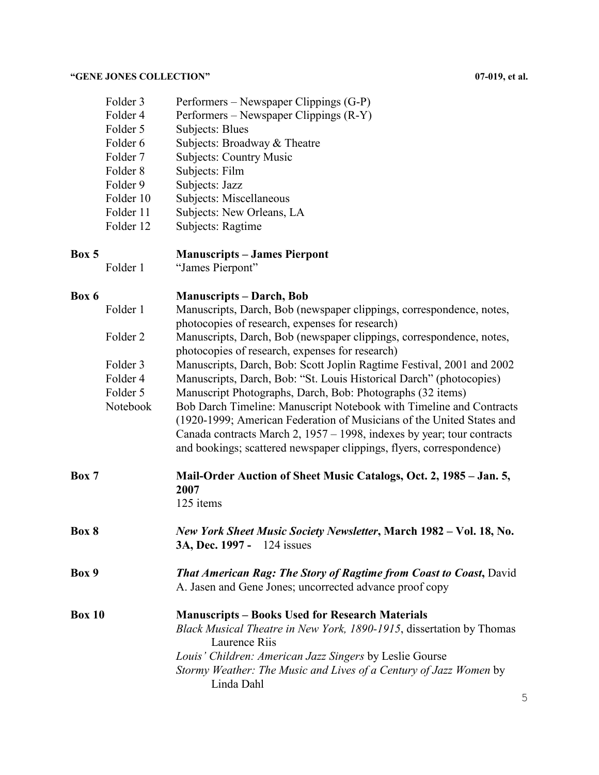| Folder 3  | Performers – Newspaper Clippings (G-P) |
|-----------|----------------------------------------|
| Folder 4  | Performers – Newspaper Clippings (R-Y) |
| Folder 5  | Subjects: Blues                        |
| Folder 6  | Subjects: Broadway & Theatre           |
| Folder 7  | <b>Subjects: Country Music</b>         |
| Folder 8  | Subjects: Film                         |
| Folder 9  | Subjects: Jazz                         |
| Folder 10 | Subjects: Miscellaneous                |
| Folder 11 | Subjects: New Orleans, LA              |
| Folder 12 | Subjects: Ragtime                      |
|           |                                        |

## **Box 5 Manuscripts – James Pierpont**

Folder 1 "James Pierpont"

### **Box 6 Manuscripts – Darch, Bob**

| Folder 1 | Manuscripts, Darch, Bob (newspaper clippings, correspondence, notes,  |
|----------|-----------------------------------------------------------------------|
|          | photocopies of research, expenses for research)                       |
| Folder 2 | Manuscripts, Darch, Bob (newspaper clippings, correspondence, notes,  |
|          | photocopies of research, expenses for research)                       |
| Folder 3 | Manuscripts, Darch, Bob: Scott Joplin Ragtime Festival, 2001 and 2002 |
| Folder 4 | Manuscripts, Darch, Bob: "St. Louis Historical Darch" (photocopies)   |
| Folder 5 | Manuscript Photographs, Darch, Bob: Photographs (32 items)            |

| Notebook | Bob Darch Timeline: Manuscript Notebook with Timeline and Contracts       |
|----------|---------------------------------------------------------------------------|
|          | (1920-1999; American Federation of Musicians of the United States and     |
|          | Canada contracts March 2, $1957 - 1998$ , indexes by year; tour contracts |
|          | and bookings; scattered newspaper clippings, flyers, correspondence)      |

# **Box 7 Mail-Order Auction of Sheet Music Catalogs, Oct. 2, 1985 – Jan. 5, 2007**

125 items

**Box 8** *New York Sheet Music Society Newsletter***, March 1982 – Vol. 18, No. 3A, Dec. 1997 -** 124 issues

## **Box 9** *That American Rag: The Story of Ragtime from Coast to Coast***,** David A. Jasen and Gene Jones; uncorrected advance proof copy

**Box 10 Manuscripts – Books Used for Research Materials** *Black Musical Theatre in New York, 1890-1915*, dissertation by Thomas Laurence Riis *Louis' Children: American Jazz Singers* by Leslie Gourse *Stormy Weather: The Music and Lives of a Century of Jazz Women* by Linda Dahl